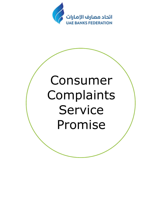

# Consumer Complaints Service Promise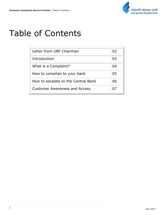

# Table of Contents

| Letter from UBF Chairman             | 02 |
|--------------------------------------|----|
| Introduction                         | 03 |
| What is a Complaint?                 | 04 |
| How to complian to your bank         | 05 |
| How to escalate to the Central Bank  | 06 |
| <b>Customer Awareness and Access</b> |    |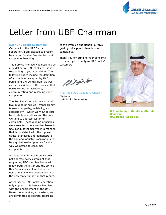

# Letter from UBF Chairman

#### **Dear UAE Banks Customers,**

On behalf of the UAE Banks Federation, I am pleased to present to you our Service Promise for bank complaints handling.

This Service Promise was designed as a guideline for UAE banks to use in responding to your complaints. The following pages include the definition of a complaint accepted by UAE banks and the Central Bank as well as the description of the process that banks will use in accepting, communicating and resolving your complaints.

The Service Promise is built around five guiding principles - transparency, fairness, empathy, reliability, and accessibility – which we view as core to our daily operations and the care we take to address customer complaints. These guiding principles were selected to ensure that banks in UAE conduct themselves in a manner that is consistent with the highest ethical standards and demonstrate the banking industry's aspirations to be a global leading practice for the way we attend to consumer complaints.

Although this Service Promise does not address every complaint that may arise; UBF member banks will follow both the letter and the spirit of this Promise as well as honor their obligations and will be provided with the necessary support in that regard.

As its issuer, UAE Banks Federation fully supports this Service Promise, with the endorsement of the UAE Banks. As a banking ecosystem, we are committed to operate according

to this Promise and uphold our five guiding principles to handle your complaints.

Thank you for bringing your concerns to us and your loyalty as UAE banks' customers.

resers

H.E. Abdul Aziz Abdulla Al Ghurair Chairman UAE Banks Federation



**H.E. Abdul Aziz Abdulla Al Ghurair, Chairman UAE Banks Federation**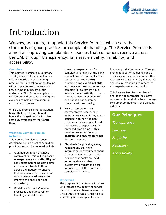

# Introduction

We vow, as banks, to uphold this Service Promise which sets the standards of good practice for complaints handling. The Service Promise is aimed at improving complaints responses that customers receive across the UAE through transparency, fairness, empathy, reliability, and accessibility.

#### **Overview**

This Service Promise is a voluntary set of guidelines for conduct which sets standards of good banking practice for us to follow when dealing with complaints from persons who are, or who may become, our customers. This Promise applies to consumers and personal banking and excludes complaint resolution for corporate customers.

While this Promise is not legislation, banks that adopt it are bound to honor the obligations the Promise sets out, overseen by the Central Bank.

#### **What the Service Promise includes**

This Service Promise has been developed around a set of 5 guiding principles and topics covered include:

- 1. A unified definition of what a complaint is - this will represent **transparency** and **reliability** for bank customers filing complaints and standardize definitions across the industry to ensure that complaints are tracked and root causes are addressed to improve the entire banking ecosystem;
- 2. Guidelines for banks' internal processes and standards for handling complaints and

consumer expectations for complaints handling at the bank this will ensure that banks treat customer concerns **fairly,** customers can expect **reliable** and consistent responses to their complaints, customers have increased **accessibility** to banks through a variety of channels, and banks treat customer concerns with **empathy**;

- 3. How customers or their representatives can pursue external escalation if they are not satisfied with how the bank addresses their complaint or do not receive a response within promised time frames - this provides an added layer of **security** and ensures **fairness** for the customer;
- 4. Standards for providing clear, **reliable** and sufficient information to consumers about the complaints process - this ensures that banks are held **accountable** and that customers' **privacy** and best interests are at the forefront of complaints handling.

#### **Objectives**

The purpose of this Service Promise is to increase the quality of service that customers at banks across the United Arab Emirates (UAE) receive when they file a complaint about a

financial product or service. Through providing a set of guidelines and a quality assurance to customers, this Promise will raise industry standards and ensure standardized processes and experiences across banks.

This Service Promise complements and does not contradict legislative requirements, and aims to encourage consumer confidence in the banking industry.

# **Our Principles** *Transparency Fairness Empathy Reliability Accessibility*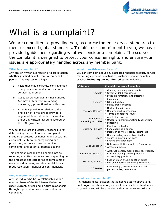

# What is a complaint?

We are committed to providing you, as our customers, service standards to meet or exceed global standards. To fulfill our commitment to you, we have provided guidelines regarding what we consider a complaint. The scope of the complaint is designed to protect your consumer rights and ensure your issues are appropriately handled across any member bank.

#### **What is a complaint?**

Any oral or written expression of dissatisfaction, whether justified or not, from, or on behalf of, a person. This expression alleges:

- a. Facts that may constitute contravention of any business conduct or customer service requirement;
- b. Cases where complainant has suffered (or may suffer) from misleading marketing / promotional activities; and
- c. An unfair practice in relation to the provision of, or failure to provide, a regulated financial product or service under any written law administered by the UAE government.

We, as banks, are individually responsible for determining the merits of each complaint, including processes for handling and escalating complaints, criteria for categorizing and prioritizing, response times to resolve complaints, and potential redress actions.

This definition recognizes all complaints as requiring a written response, and depending on the processes and categories of complaints at each individual bank, certain complaints also merit resolution (financial or non-financial).

#### **Who can submit a complaint?**

Any individual who has a relationship with a member bank of the UAE Banks Federation (past, current, or seeking a future relationship) through a product or service can submit a complaint.

#### **What does this mean for you?**

You can complain about any regulated financial product, service, marketing / promotion activities, customer service or unfair practice **including but not limited to** the following:

| <b>Category</b>                            | <b>Complaint Areas / Examples</b>                                                                                                |
|--------------------------------------------|----------------------------------------------------------------------------------------------------------------------------------|
| Products                                   | Opening or managing accounts<br>° Credit or debit card issues<br>Product promotions and offerings                                |
| Services                                   | $\circ$<br>Payments<br><b>Billing disputes</b><br>$\circ$<br>Money transfer issues<br>$\circ$                                    |
| Fees And Charges                           | $\circ$<br>Unclear fees & charges<br><sup>o</sup> Unauthorized transactions<br><sup>o</sup> Terms & conditions issues            |
| Promotion /<br><b>Marketing Activities</b> | $\circ$<br>Application process<br><sup>o</sup> Unclear or unfair marketing & advertising<br><sup>o</sup> Misselling              |
| <b>Customer Service</b>                    | $\circ$<br>Employee behavior<br>Long queue at branches<br>$\circ$<br>Delays in service (liability letters, etc.)<br>$\circ$      |
| Loans                                      | <sup>o</sup> Understanding loans / Loan tactics<br>Issues in applying for loans<br>$\circ$<br>Signing the agreement<br>$\circ$   |
| Debt Collection                            | Debt consolidation problems & concerns<br>$\circ$<br><sup>o</sup> Accessing money                                                |
| <b>Information Systems</b>                 | $\circ$<br>ATM, Call center, mobile banking, website,<br>or other digital platform problems<br>$\circ$<br>Accessibility problems |
| Security / Privacy                         | Lost or stolen checks or other issues<br>$\circ$<br>$\circ$<br>Personal information privacy complaints                           |
| 3rd Parties                                | Membership / benefit issues with 3rd<br>$\circ$<br>parties (miles, partners, etc.)                                               |

#### **What is not a complaint?**

Any general dissatisfaction that is not related to above (e.g. bank logo, branch location, etc.) will be considered feedback / suggestion and will be provided with a response accordingly.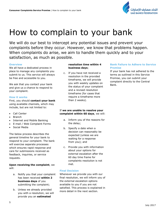

# How to complain to your bank

We will do our best to intercept any potential issues and prevent your complaints before they occur. However, we know that problems happen. When complaints do arise, we aim to handle them quickly and to your satisfaction, as much as possible.

#### **Overview**

We all have a dedicated process in place to manage any complaints you submit to us. This service will always be free and accessible to you.

We ask that you contact your bank and give us a chance to respond to your complaint.

#### **How it works**

First, you should **contact your bank** using available channels, which may include, but are not limited to:

- Call Center
- **Branch**
- Internet and Mobile Banking
- E-mail / Web Complaint Forms
- Social Media

The below process describes the general timeline for your bank to respond to your complaint. The bank will exercise separate processes which ensures rapid response and care for submissions received as feedback, inquiries, or service requests.

**Upon receiving the complaint**, we will:

- a. Notify you that your complaint has been received **within 2 business days** of you submitting the complaint;
- b. Unless we already provided you with a resolution, we will provide you an **estimated**

#### **resolution time within 4 business days**;

c. If you have not received a resolution in the provided timeframe, we will provide you with weekly updates on the status of your complaint and a revised resolution timeframe (for cases that require a timeframe more than 2 weeks).

#### If **we are unable to resolve your complaint within 60 days**, we will:

- a. Inform you of the reasons for the delay;
- b. Specify a date when a decision can reasonably be expected (unless we are waiting for a response from you); and
- c. Provide you with information about your options for external escalation after the 60 day time frame for complaints resolution is not met.

#### **Final Decision**

Whenever we provide you with our final resolution, we will inform you of the external escalation options available to you if you are not satisfied. This process is explained in more detail in the next section.

#### **Bank Failure to Adhere to Service Promise**

If your bank has not adhered to the terms as outlined in this Service Promise, you can submit your complaint directly to the Central Bank.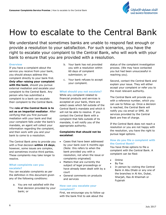

# How to escalate to the Central Bank

We understand that sometimes banks are unable to respond fast enough or provide a resolution to your satisfaction. For such scenarios, you have the right to escalate your complaint to the Central Bank, who will work with your bank to ensure that you are provided with a resolution.

#### **Overview**

If you have a complaint about the service you receive from your bank, you should always address this complaint directly to your bank first. *Only* **after raising your complaint with the bank**, should you pursue external mediation and escalate your complaint to the Central Bank. Any person who has submitted a complaint to a bank can escalate their complaint to the Central Bank.

#### The **role of the Central Bank is to act as an impartial mediator**. After verifying that you first pursued mediation with your bank and that

your complaint falls under the bank's mandate, an agent will collect your information regarding the complaint, and then work with you and your bank to come to a resolution.

The Central Bank aims to provide you with a final decision **within 15 days**, however, some issues are complex, and sometimes involve third parties. These complaints may take longer to resolve.

#### **What complaints can you escalate?**

You can escalate complaints as per the definition in this document given any of the following conditions:

a. You are not satisfied with the final decision provided by your bank; or

- b. Your bank has not provided you with a resolution within 60 days of complaint submission; or
- c. Your bank refuses to accept your complaint.

#### **What should you not escalate?**

While any complaint related to financial products and services is accepted at your bank, there are select cases which fall outside of the Central Bank's mandate and which it will not be able to resolve. If you contact the Central Bank with a complaint that falls outside of its mandate, it will notify you of the appropriate authority.

#### **Complaints that should not be escalated**:

- Cases that have been addressed by your bank over 6 months ago (Note: this refers to when the bank provided you with a resolution, not when the issue or complaints originated)
- Matters that are currently the subject of legal proceedings or have already been dealt with by a court
- General comments on products and services

#### **How can you escalate your complaint?**

First, we encourage you to follow up with the bank first to ask about the

status of the complaint investigation process. (We may have contacted you but had been unsuccessful in reaching you).

Second, contact the Central Bank and explain your issue. They will either accept your complaint or refer you to the most relevant authority.

The Central Bank will provide you with a reference number, which you can use to follow up. Once a decision is reached, the Central Bank will notify you via email or SMS. All services provided by the Central Bank are free of charge.

If the Central Bank does not reach a resolution or you are not happy with the resolution, you have the right to pursue legal options.

#### **How do you file a complaint with the Central Bank?**

You have three options to file a complaint with the Central Bank. A complaint can be filed:

- **Online**
- By Fax
- In person by visiting the Central Bank in Abu Dhabi or any one of the branches in Al Ain, Dubai, Sharjah, Ras Al Khaimah or Fujairah